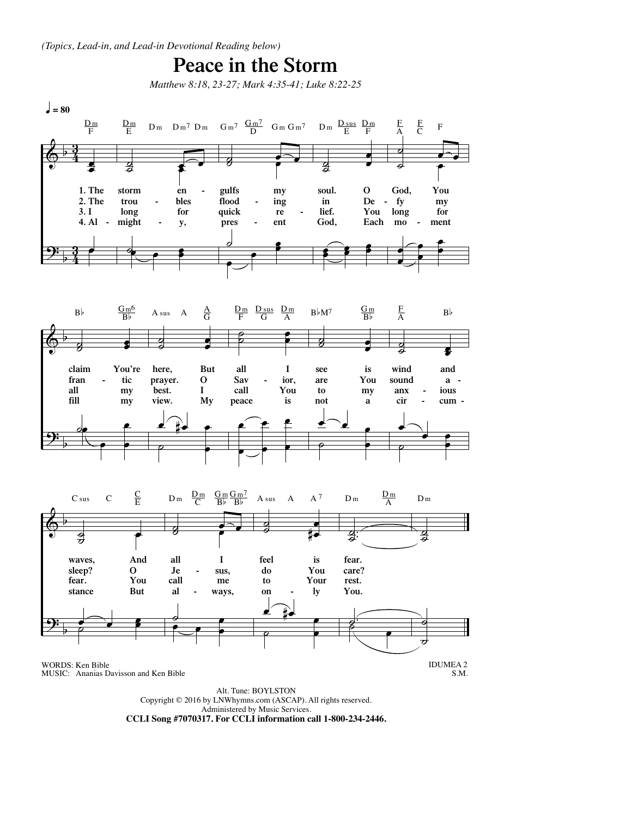## **Peace in the Storm**

*Matthew 8:18, 23-27; Mark 4:35-41; Luke 8:22-25*



Alt. Tune: BOYLSTON Copyright © 2016 by LNWhymns.com (ASCAP). All rights reserved. Administered by Music Services. **CCLI Song #7070317. For CCLI information call 1-800-234-2446.**